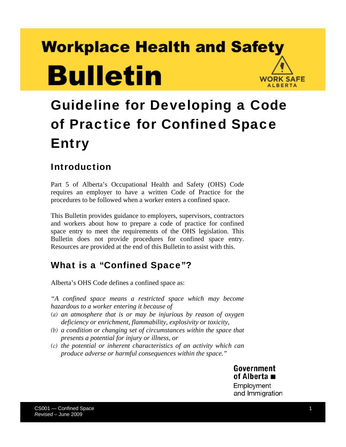# **Workplace Health and Safety Bulletin WORK SAFE ALBERTA**

# Guideline for Developing a Code of Practice for Confined Space Entry

### Introduction

Part 5 of Alberta's Occupational Health and Safety (OHS) Code requires an employer to have a written Code of Practice for the procedures to be followed when a worker enters a confined space.

This Bulletin provides guidance to employers, supervisors, contractors and workers about how to prepare a code of practice for confined space entry to meet the requirements of the OHS legislation. This Bulletin does not provide procedures for confined space entry. Resources are provided at the end of this Bulletin to assist with this.

### What is a "Confined Space"?

Alberta's OHS Code defines a confined space as:

*"A confined space means a restricted space which may become hazardous to a worker entering it because of* 

- *(a) an atmosphere that is or may be injurious by reason of oxygen deficiency or enrichment, flammability, explosivity or toxicity,*
- *(b) a condition or changing set of circumstances within the space that presents a potential for injury or illness, or*
- *(c) the potential or inherent characteristics of an activity which can produce adverse or harmful consequences within the space."*

Government of Alberta ■ Employment and Immigration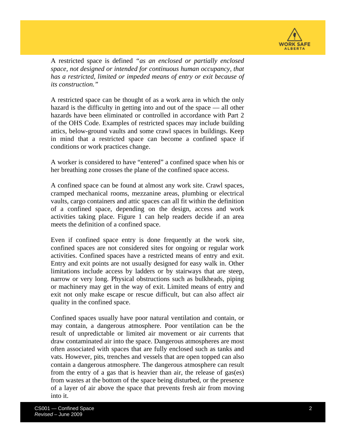

A restricted space is defined *"as an enclosed or partially enclosed space, not designed or intended for continuous human occupancy, that has a restricted, limited or impeded means of entry or exit because of its construction."* 

A restricted space can be thought of as a work area in which the only hazard is the difficulty in getting into and out of the space — all other hazards have been eliminated or controlled in accordance with Part 2 of the OHS Code. Examples of restricted spaces may include building attics, below-ground vaults and some crawl spaces in buildings. Keep in mind that a restricted space can become a confined space if conditions or work practices change.

A worker is considered to have "entered" a confined space when his or her breathing zone crosses the plane of the confined space access.

A confined space can be found at almost any work site. Crawl spaces, cramped mechanical rooms, mezzanine areas, plumbing or electrical vaults, cargo containers and attic spaces can all fit within the definition of a confined space, depending on the design, access and work activities taking place. Figure 1 can help readers decide if an area meets the definition of a confined space.

Even if confined space entry is done frequently at the work site, confined spaces are not considered sites for ongoing or regular work activities. Confined spaces have a restricted means of entry and exit. Entry and exit points are not usually designed for easy walk in. Other limitations include access by ladders or by stairways that are steep, narrow or very long. Physical obstructions such as bulkheads, piping or machinery may get in the way of exit. Limited means of entry and exit not only make escape or rescue difficult, but can also affect air quality in the confined space.

Confined spaces usually have poor natural ventilation and contain, or may contain, a dangerous atmosphere. Poor ventilation can be the result of unpredictable or limited air movement or air currents that draw contaminated air into the space. Dangerous atmospheres are most often associated with spaces that are fully enclosed such as tanks and vats. However, pits, trenches and vessels that are open topped can also contain a dangerous atmosphere. The dangerous atmosphere can result from the entry of a gas that is heavier than air, the release of gas(es) from wastes at the bottom of the space being disturbed, or the presence of a layer of air above the space that prevents fresh air from moving into it.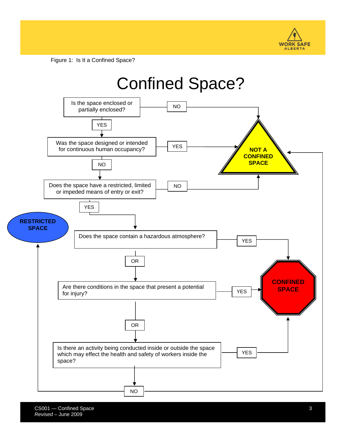

Figure 1: Is It a Confined Space?

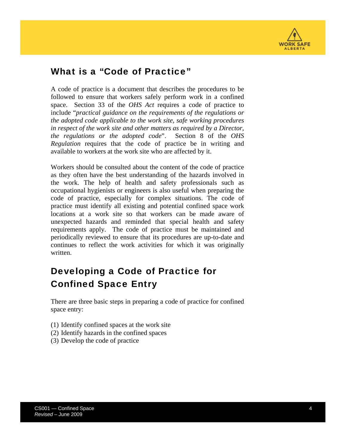

### What is a "Code of Practice"

A code of practice is a document that describes the procedures to be followed to ensure that workers safely perform work in a confined space. Section 33 of the *OHS Act* requires a code of practice to include "*practical guidance on the requirements of the regulations or the adopted code applicable to the work site, safe working procedures in respect of the work site and other matters as required by a Director, the regulations or the adopted code*". Section 8 of the *OHS Regulation* requires that the code of practice be in writing and available to workers at the work site who are affected by it.

Workers should be consulted about the content of the code of practice as they often have the best understanding of the hazards involved in the work. The help of health and safety professionals such as occupational hygienists or engineers is also useful when preparing the code of practice, especially for complex situations. The code of practice must identify all existing and potential confined space work locations at a work site so that workers can be made aware of unexpected hazards and reminded that special health and safety requirements apply. The code of practice must be maintained and periodically reviewed to ensure that its procedures are up-to-date and continues to reflect the work activities for which it was originally written.

# Developing a Code of Practice for Confined Space Entry

There are three basic steps in preparing a code of practice for confined space entry:

- (1) Identify confined spaces at the work site
- (2) Identify hazards in the confined spaces
- (3) Develop the code of practice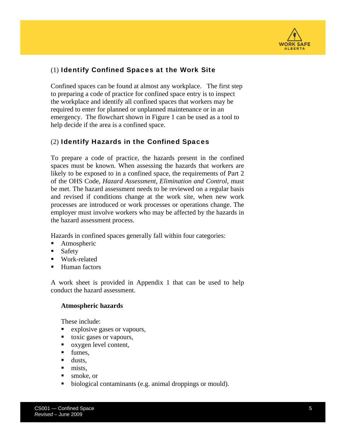

### (1) Identify Confined Spaces at the Work Site

Confined spaces can be found at almost any workplace. The first step to preparing a code of practice for confined space entry is to inspect the workplace and identify all confined spaces that workers may be required to enter for planned or unplanned maintenance or in an emergency. The flowchart shown in Figure 1 can be used as a tool to help decide if the area is a confined space.

### (2) Identify Hazards in the Confined Spaces

To prepare a code of practice, the hazards present in the confined spaces must be known. When assessing the hazards that workers are likely to be exposed to in a confined space, the requirements of Part 2 of the OHS Code, *Hazard Assessment, Elimination and Control*, must be met. The hazard assessment needs to be reviewed on a regular basis and revised if conditions change at the work site, when new work processes are introduced or work processes or operations change. The employer must involve workers who may be affected by the hazards in the hazard assessment process.

Hazards in confined spaces generally fall within four categories:

- Atmospheric
- Safety
- **Work-related**
- Human factors

A work sheet is provided in Appendix 1 that can be used to help conduct the hazard assessment.

#### **Atmospheric hazards**

These include:

- **EXPLOSIVE gases or vapours,**
- toxic gases or vapours,
- oxygen level content,
- **fumes.**
- **dusts**,
- $\blacksquare$  mists.
- smoke, or
- biological contaminants (e.g. animal droppings or mould).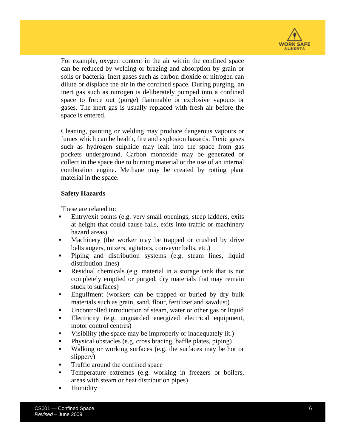

For example, oxygen content in the air within the confined space can be reduced by welding or brazing and absorption by grain or soils or bacteria. Inert gases such as carbon dioxide or nitrogen can dilute or displace the air in the confined space. During purging, an inert gas such as nitrogen is deliberately pumped into a confined space to force out (purge) flammable or explosive vapours or gases. The inert gas is usually replaced with fresh air before the space is entered.

Cleaning, painting or welding may produce dangerous vapours or fumes which can be health, fire and explosion hazards. Toxic gases such as hydrogen sulphide may leak into the space from gas pockets underground. Carbon monoxide may be generated or collect in the space due to burning material or the use of an internal combustion engine. Methane may be created by rotting plant material in the space.

#### **Safety Hazards**

These are related to:

- Entry/exit points (e.g. very small openings, steep ladders, exits at height that could cause falls, exits into traffic or machinery hazard areas)
- Machinery (the worker may be trapped or crushed by drive belts augers, mixers, agitators, conveyor belts, etc.)
- **Piping and distribution systems (e.g. steam lines, liquid** distribution lines)
- Residual chemicals (e.g. material in a storage tank that is not completely emptied or purged, dry materials that may remain stuck to surfaces)
- **Engulfment** (workers can be trapped or buried by dry bulk materials such as grain, sand, flour, fertilizer and sawdust)
- Uncontrolled introduction of steam, water or other gas or liquid
- Electricity (e.g. unguarded energized electrical equipment, motor control centres)
- Visibility (the space may be improperly or inadequately lit.)
- Physical obstacles (e.g. cross bracing, baffle plates, piping)
- Walking or working surfaces (e.g. the surfaces may be hot or slippery)
- Traffic around the confined space
- Temperature extremes (e.g. working in freezers or boilers, areas with steam or heat distribution pipes)
- Humidity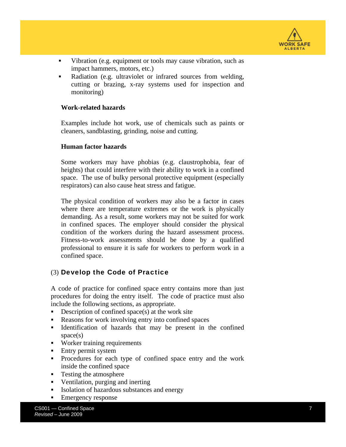

- Vibration (e.g. equipment or tools may cause vibration, such as impact hammers, motors, etc.)
- Radiation (e.g. ultraviolet or infrared sources from welding, cutting or brazing, x-ray systems used for inspection and monitoring)

#### **Work-related hazards**

Examples include hot work, use of chemicals such as paints or cleaners, sandblasting, grinding, noise and cutting.

#### **Human factor hazards**

Some workers may have phobias (e.g. claustrophobia, fear of heights) that could interfere with their ability to work in a confined space. The use of bulky personal protective equipment (especially respirators) can also cause heat stress and fatigue.

The physical condition of workers may also be a factor in cases where there are temperature extremes or the work is physically demanding. As a result, some workers may not be suited for work in confined spaces. The employer should consider the physical condition of the workers during the hazard assessment process. Fitness-to-work assessments should be done by a qualified professional to ensure it is safe for workers to perform work in a confined space.

#### (3) Develop the Code of Practice

A code of practice for confined space entry contains more than just procedures for doing the entry itself. The code of practice must also include the following sections, as appropriate.

- Description of confined space(s) at the work site
- Reasons for work involving entry into confined spaces
- **IDENTIFICATE:** Identification of hazards that may be present in the confined space(s)
- **Worker training requirements**
- **Entry permit system**
- Procedures for each type of confined space entry and the work inside the confined space
- Testing the atmosphere
- Ventilation, purging and inerting
- Isolation of hazardous substances and energy
- **Emergency response**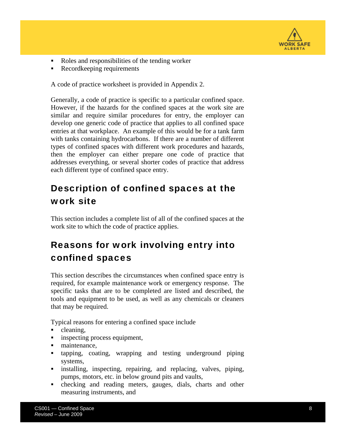

- Roles and responsibilities of the tending worker
- Recordkeeping requirements

A code of practice worksheet is provided in Appendix 2.

Generally, a code of practice is specific to a particular confined space. However, if the hazards for the confined spaces at the work site are similar and require similar procedures for entry, the employer can develop one generic code of practice that applies to all confined space entries at that workplace. An example of this would be for a tank farm with tanks containing hydrocarbons. If there are a number of different types of confined spaces with different work procedures and hazards, then the employer can either prepare one code of practice that addresses everything, or several shorter codes of practice that address each different type of confined space entry.

# Description of confined spaces at the work site

This section includes a complete list of all of the confined spaces at the work site to which the code of practice applies.

# Reasons for work involving entry into confined spaces

This section describes the circumstances when confined space entry is required, for example maintenance work or emergency response. The specific tasks that are to be completed are listed and described, the tools and equipment to be used, as well as any chemicals or cleaners that may be required.

Typical reasons for entering a confined space include

- cleaning,
- **i** inspecting process equipment,
- maintenance,
- tapping, coating, wrapping and testing underground piping systems,
- installing, inspecting, repairing, and replacing, valves, piping, pumps, motors, etc. in below ground pits and vaults,
- checking and reading meters, gauges, dials, charts and other measuring instruments, and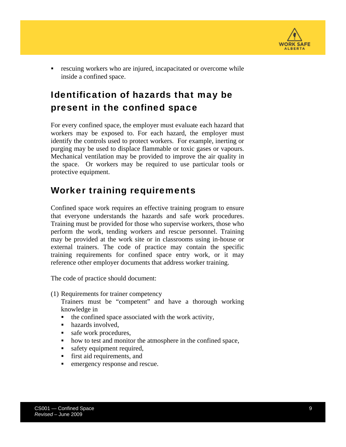

 rescuing workers who are injured, incapacitated or overcome while inside a confined space.

# Identification of hazards that may be present in the confined space

For every confined space, the employer must evaluate each hazard that workers may be exposed to. For each hazard, the employer must identify the controls used to protect workers. For example, inerting or purging may be used to displace flammable or toxic gases or vapours. Mechanical ventilation may be provided to improve the air quality in the space. Or workers may be required to use particular tools or protective equipment.

### Worker training requirements

Confined space work requires an effective training program to ensure that everyone understands the hazards and safe work procedures. Training must be provided for those who supervise workers, those who perform the work, tending workers and rescue personnel. Training may be provided at the work site or in classrooms using in-house or external trainers. The code of practice may contain the specific training requirements for confined space entry work, or it may reference other employer documents that address worker training.

The code of practice should document:

- (1) Requirements for trainer competency
	- Trainers must be "competent" and have a thorough working knowledge in
	- $\blacksquare$  the confined space associated with the work activity,
	- hazards involved.
	- safe work procedures,
	- how to test and monitor the atmosphere in the confined space,
	- safety equipment required,
	- first aid requirements, and
	- **EXECUTE:** emergency response and rescue.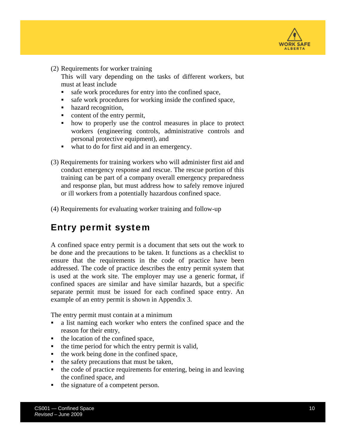

(2) Requirements for worker training

This will vary depending on the tasks of different workers, but must at least include

- safe work procedures for entry into the confined space,
- safe work procedures for working inside the confined space,
- hazard recognition,
- content of the entry permit,
- how to properly use the control measures in place to protect workers (engineering controls, administrative controls and personal protective equipment), and
- what to do for first aid and in an emergency.
- (3) Requirements for training workers who will administer first aid and conduct emergency response and rescue. The rescue portion of this training can be part of a company overall emergency preparedness and response plan, but must address how to safely remove injured or ill workers from a potentially hazardous confined space.
- (4) Requirements for evaluating worker training and follow-up

### Entry permit system

A confined space entry permit is a document that sets out the work to be done and the precautions to be taken. It functions as a checklist to ensure that the requirements in the code of practice have been addressed. The code of practice describes the entry permit system that is used at the work site. The employer may use a generic format, if confined spaces are similar and have similar hazards, but a specific separate permit must be issued for each confined space entry. An example of an entry permit is shown in Appendix 3.

The entry permit must contain at a minimum

- a list naming each worker who enters the confined space and the reason for their entry,
- the location of the confined space,
- $\bullet$  the time period for which the entry permit is valid,
- the work being done in the confined space,
- $\blacksquare$  the safety precautions that must be taken,
- the code of practice requirements for entering, being in and leaving the confined space, and
- the signature of a competent person.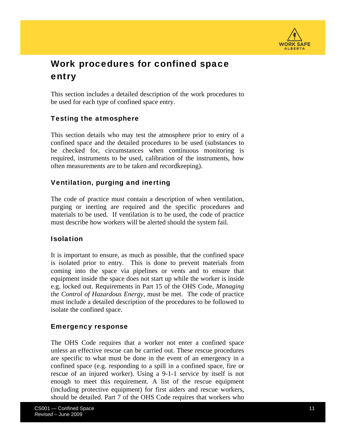

# Work procedures for confined space entry

This section includes a detailed description of the work procedures to be used for each type of confined space entry.

### Testing the atmosphere

This section details who may test the atmosphere prior to entry of a confined space and the detailed procedures to be used (substances to be checked for, circumstances when continuous monitoring is required, instruments to be used, calibration of the instruments, how often measurements are to be taken and recordkeeping).

### Ventilation, purging and inerting

The code of practice must contain a description of when ventilation, purging or inerting are required and the specific procedures and materials to be used. If ventilation is to be used, the code of practice must describe how workers will be alerted should the system fail.

### Isolation

It is important to ensure, as much as possible, that the confined space is isolated prior to entry. This is done to prevent materials from coming into the space via pipelines or vents and to ensure that equipment inside the space does not start up while the worker is inside e.g. locked out. Requirements in Part 15 of the OHS Code, *Managing the Control of Hazardous Energy,* must be met. The code of practice must include a detailed description of the procedures to be followed to isolate the confined space.

#### Emergency response

The OHS Code requires that a worker not enter a confined space unless an effective rescue can be carried out. These rescue procedures are specific to what must be done in the event of an emergency in a confined space (e.g. responding to a spill in a confined space, fire or rescue of an injured worker). Using a 9-1-1 service by itself is not enough to meet this requirement. A list of the rescue equipment (including protective equipment) for first aiders and rescue workers, should be detailed. Part 7 of the OHS Code requires that workers who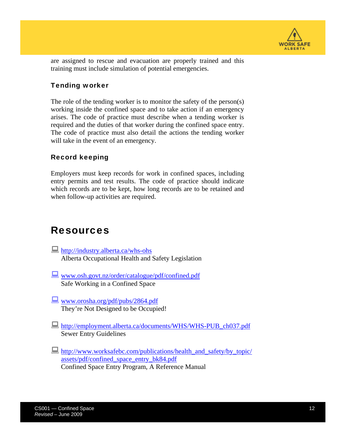

are assigned to rescue and evacuation are properly trained and this training must include simulation of potential emergencies.

### Tending worker

The role of the tending worker is to monitor the safety of the person(s) working inside the confined space and to take action if an emergency arises. The code of practice must describe when a tending worker is required and the duties of that worker during the confined space entry. The code of practice must also detail the actions the tending worker will take in the event of an emergency.

### Record keeping

Employers must keep records for work in confined spaces, including entry permits and test results. The code of practice should indicate which records are to be kept, how long records are to be retained and when follow-up activities are required.

### Resources

- **<http://industry.alberta.ca/whs-ohs>** Alberta Occupational Health and Safety Legislation
- www.osh.govt.nz/order/catalogue/pdf/confined.pdf Safe Working in a Confined Space
- www.orosha.org/pdf/pubs/2864.pdf They're Not Designed to be Occupied!
- [http://employment.alberta.ca/documents/WHS/WHS-PUB\\_ch037.pdf](http://employment.alberta.ca/documents/WHS/WHS-PUB_ch037.pdf) Sewer Entry Guidelines
- [http://www.worksafebc.com/publications/health\\_and\\_safety/by\\_topic/](http://www.worksafebc.com/publications/health_and_safety/by_topic/assets/pdf/confined_space_entry_bk84.pdf) [assets/pdf/confined\\_space\\_entry\\_bk84.pdf](http://www.worksafebc.com/publications/health_and_safety/by_topic/assets/pdf/confined_space_entry_bk84.pdf) Confined Space Entry Program, A Reference Manual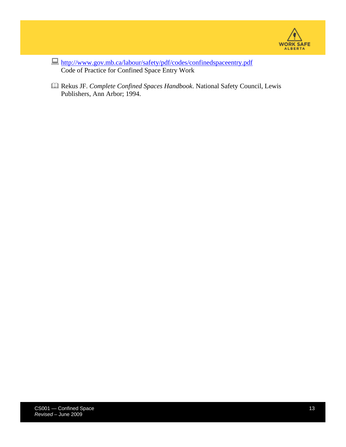

- <http://www.gov.mb.ca/labour/safety/pdf/codes/confinedspaceentry.pdf> Code of Practice for Confined Space Entry Work
- Rekus JF. *Complete Confined Spaces Handbook*. National Safety Council, Lewis Publishers, Ann Arbor; 1994.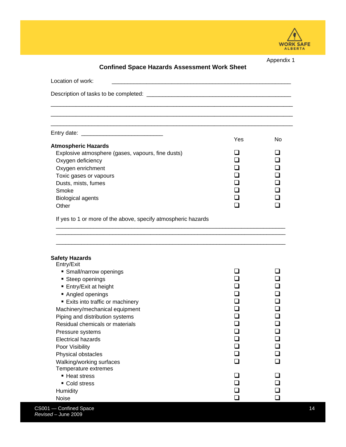

| <b>Confined Space Hazards Assessment Work Sheet</b>                                               |          | Appendix 1                                                                 |
|---------------------------------------------------------------------------------------------------|----------|----------------------------------------------------------------------------|
| Location of work:<br><u> 1980 - Johann Barbara, martxa alemaniar amerikan personal (h. 1980).</u> |          |                                                                            |
|                                                                                                   |          |                                                                            |
|                                                                                                   |          |                                                                            |
|                                                                                                   |          |                                                                            |
| <b>Atmospheric Hazards</b>                                                                        | Yes      | No.                                                                        |
| Explosive atmosphere (gases, vapours, fine dusts)                                                 | ப        | ப                                                                          |
| Oxygen deficiency                                                                                 | ப        | $\Box$                                                                     |
| Oxygen enrichment                                                                                 | ப        | ❏                                                                          |
|                                                                                                   | $\Box$   | $\Box$                                                                     |
| Toxic gases or vapours<br>Dusts, mists, fumes                                                     | ◻        | $\Box$                                                                     |
| Smoke                                                                                             | ப        | ❏                                                                          |
|                                                                                                   | ◻        | ❏                                                                          |
| <b>Biological agents</b><br>Other                                                                 | $\Box$   | n                                                                          |
|                                                                                                   |          |                                                                            |
| <b>Safety Hazards</b>                                                                             |          |                                                                            |
| Entry/Exit                                                                                        |          |                                                                            |
| • Small/narrow openings                                                                           |          | □                                                                          |
| ■ Steep openings                                                                                  |          |                                                                            |
| ■ Entry/Exit at height                                                                            |          |                                                                            |
| Angled openings<br>Exits into traffic or machinery                                                |          |                                                                            |
| Machinery/mechanical equipment                                                                    |          |                                                                            |
| Piping and distribution systems                                                                   | ❏        | □                                                                          |
| Residual chemicals or materials                                                                   |          |                                                                            |
|                                                                                                   |          |                                                                            |
|                                                                                                   | $\sqcup$ | $\mathbf{\mathbf{\mathbf{\mathbf{\mathbf{\mathbf{\mathbf{\mathbf{1}}}}}}}$ |
| Pressure systems                                                                                  |          | $\Box$                                                                     |
| <b>Electrical hazards</b>                                                                         | ◻<br>◻   | $\Box$                                                                     |
| Poor Visibility                                                                                   |          | ❏                                                                          |
| Physical obstacles                                                                                | ❏<br>◻   | ❏                                                                          |
| Walking/working surfaces                                                                          |          | ❏                                                                          |
| Temperature extremes                                                                              |          |                                                                            |
| ■ Heat stress                                                                                     |          |                                                                            |
| • Cold stress<br>Humidity                                                                         | ◻        |                                                                            |

CS001 — Confined Space 14 *Revised* – June 2009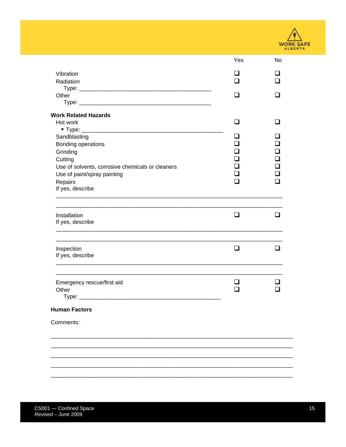

|                                                  | Yes    | No  |
|--------------------------------------------------|--------|-----|
| Vibration                                        |        |     |
| Radiation                                        |        |     |
|                                                  |        |     |
| Other                                            | H      |     |
|                                                  |        |     |
| <b>Work Related Hazards</b>                      |        |     |
| Hot work                                         | ◻      | ப   |
|                                                  |        |     |
| Sandblasting                                     |        |     |
| Bonding operations                               |        |     |
| Grinding                                         |        |     |
| Cutting                                          |        |     |
| Use of solvents, corrosive chemicals or cleaners |        |     |
| Use of paint/spray painting                      |        |     |
| Repairs                                          |        |     |
| If yes, describe                                 |        |     |
|                                                  |        |     |
| Installation                                     | $\Box$ | ⊓   |
| If yes, describe                                 |        |     |
|                                                  |        |     |
| Inspection                                       | $\Box$ | l 1 |
| If yes, describe                                 |        |     |
|                                                  |        |     |
| Emergency rescue/first aid                       | . .    |     |
| Other                                            |        |     |
|                                                  |        |     |
| <b>Human Factors</b>                             |        |     |
| Comments:                                        |        |     |
|                                                  |        |     |
|                                                  |        |     |
|                                                  |        |     |
|                                                  |        |     |
|                                                  |        |     |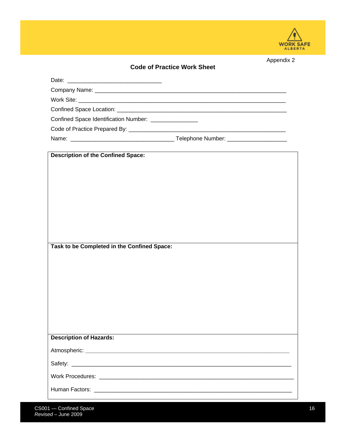

Appendix 2

| Confined Space Identification Number: ________________ |  |
|--------------------------------------------------------|--|
|                                                        |  |
|                                                        |  |
|                                                        |  |
| <b>Description of the Confined Space:</b>              |  |
|                                                        |  |
|                                                        |  |
|                                                        |  |
|                                                        |  |
|                                                        |  |
|                                                        |  |
|                                                        |  |
|                                                        |  |
| Task to be Completed in the Confined Space:            |  |
|                                                        |  |
|                                                        |  |
|                                                        |  |
|                                                        |  |
|                                                        |  |
|                                                        |  |
|                                                        |  |
|                                                        |  |
| <b>Description of Hazards:</b>                         |  |
|                                                        |  |
|                                                        |  |
|                                                        |  |
|                                                        |  |
|                                                        |  |
|                                                        |  |
|                                                        |  |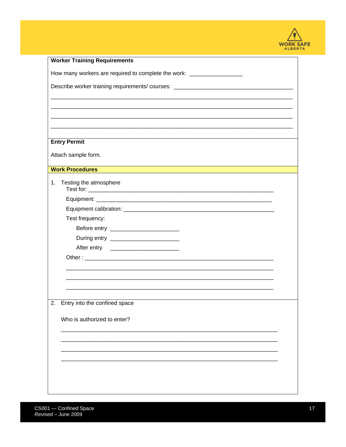

| <b>Worker Training Requirements</b>                                              |  |
|----------------------------------------------------------------------------------|--|
| How many workers are required to complete the work: ______________________       |  |
| Describe worker training requirements/ courses: ________________________________ |  |
|                                                                                  |  |
|                                                                                  |  |
|                                                                                  |  |
| <b>Entry Permit</b>                                                              |  |
| Attach sample form.                                                              |  |
| <b>Work Procedures</b>                                                           |  |
| Testing the atmosphere<br>1.                                                     |  |
|                                                                                  |  |
|                                                                                  |  |
| Test frequency:                                                                  |  |
|                                                                                  |  |
|                                                                                  |  |
|                                                                                  |  |
|                                                                                  |  |
|                                                                                  |  |
|                                                                                  |  |
|                                                                                  |  |
| 2.<br>Entry into the confined space                                              |  |
|                                                                                  |  |
| Who is authorized to enter?                                                      |  |
|                                                                                  |  |
|                                                                                  |  |
|                                                                                  |  |
|                                                                                  |  |
|                                                                                  |  |
|                                                                                  |  |
|                                                                                  |  |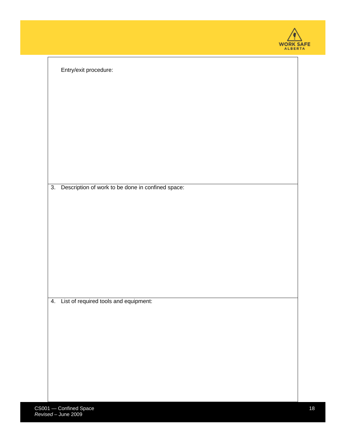| <b>WORK SAFE</b><br><b>ALBERTA</b> |  |
|------------------------------------|--|

| Entry/exit procedure:                                   |  |
|---------------------------------------------------------|--|
|                                                         |  |
|                                                         |  |
|                                                         |  |
|                                                         |  |
|                                                         |  |
| Description of work to be done in confined space:<br>3. |  |
|                                                         |  |
|                                                         |  |
|                                                         |  |
|                                                         |  |
|                                                         |  |
|                                                         |  |
| 4. List of required tools and equipment:                |  |
|                                                         |  |
|                                                         |  |
|                                                         |  |
|                                                         |  |
|                                                         |  |
|                                                         |  |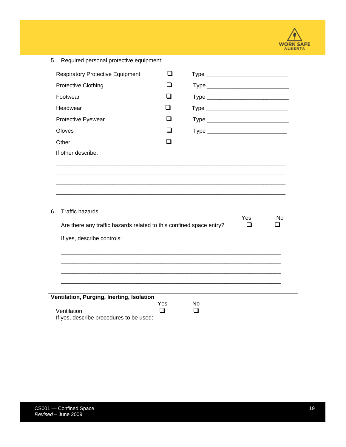

| 5.<br>Required personal protective equipment:                       |                |    |            |    |
|---------------------------------------------------------------------|----------------|----|------------|----|
| <b>Respiratory Protective Equipment</b>                             | ப              |    |            |    |
| <b>Protective Clothing</b>                                          | - 1            |    |            |    |
| Footwear                                                            | - 1            |    |            |    |
| Headwear                                                            |                |    |            |    |
| Protective Eyewear                                                  | $\mathbf{I}$   |    |            |    |
| Gloves                                                              | $\blacksquare$ |    |            |    |
| Other                                                               |                |    |            |    |
| If other describe:                                                  |                |    |            |    |
|                                                                     |                |    |            |    |
|                                                                     |                |    |            |    |
|                                                                     |                |    |            |    |
|                                                                     |                |    |            |    |
| <b>Traffic hazards</b><br>6.                                        |                |    |            |    |
| Are there any traffic hazards related to this confined space entry? |                |    | Yes<br>l 1 | No |
| If yes, describe controls:                                          |                |    |            |    |
|                                                                     |                |    |            |    |
|                                                                     |                |    |            |    |
|                                                                     |                |    |            |    |
|                                                                     |                |    |            |    |
|                                                                     |                |    |            |    |
|                                                                     |                |    |            |    |
| Ventilation, Purging, Inerting, Isolation                           | Yes            | No |            |    |
| Ventilation                                                         | l 1            |    |            |    |
| If yes, describe procedures to be used:                             |                |    |            |    |
|                                                                     |                |    |            |    |
|                                                                     |                |    |            |    |
|                                                                     |                |    |            |    |
|                                                                     |                |    |            |    |
|                                                                     |                |    |            |    |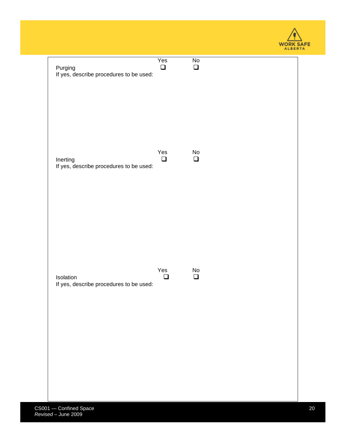

| Purging                                 | Yes    | $\overline{N}$               |
|-----------------------------------------|--------|------------------------------|
| If yes, describe procedures to be used: | $\Box$ | $\Box$                       |
| Inerting                                | Yes    | $\operatorname{\mathsf{No}}$ |
| If yes, describe procedures to be used: | $\Box$ | $\Box$                       |
| Isolation                               | Yes    | $\operatorname{\mathsf{No}}$ |
| If yes, describe procedures to be used: | $\Box$ | $\Box$                       |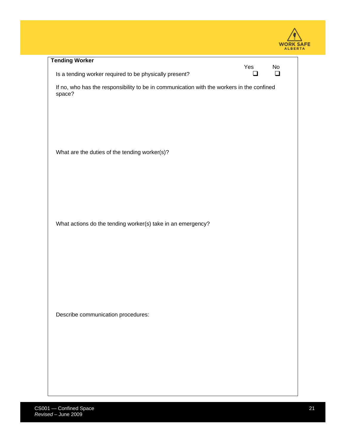| <b>WORK SAFE</b><br><b>ALBERTA</b> |  |
|------------------------------------|--|

| <b>Tending Worker</b>                                                                               | Yes | No |
|-----------------------------------------------------------------------------------------------------|-----|----|
| Is a tending worker required to be physically present?                                              | LΙ  | ◻  |
| If no, who has the responsibility to be in communication with the workers in the confined<br>space? |     |    |
| What are the duties of the tending worker(s)?                                                       |     |    |
| What actions do the tending worker(s) take in an emergency?                                         |     |    |
| Describe communication procedures:                                                                  |     |    |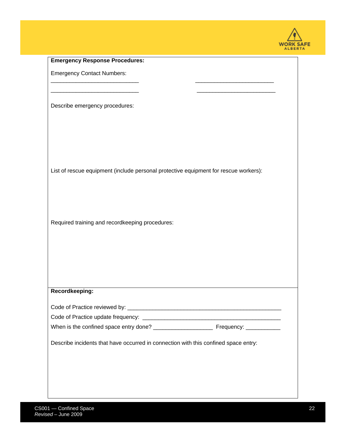

| List of rescue equipment (include personal protective equipment for rescue workers): |
|--------------------------------------------------------------------------------------|
|                                                                                      |
|                                                                                      |
|                                                                                      |
|                                                                                      |
|                                                                                      |
|                                                                                      |
|                                                                                      |
|                                                                                      |
|                                                                                      |
|                                                                                      |
|                                                                                      |
|                                                                                      |
|                                                                                      |
|                                                                                      |
|                                                                                      |
|                                                                                      |
|                                                                                      |
|                                                                                      |
|                                                                                      |
|                                                                                      |
|                                                                                      |
|                                                                                      |
|                                                                                      |
|                                                                                      |
|                                                                                      |
|                                                                                      |
| Describe incidents that have occurred in connection with this confined space entry:  |
|                                                                                      |
|                                                                                      |
|                                                                                      |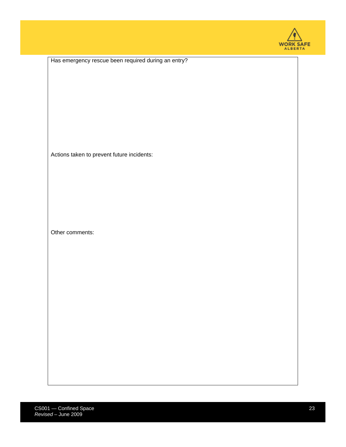

|  | Has emergency rescue been required during an entry? |  |  |
|--|-----------------------------------------------------|--|--|
|  |                                                     |  |  |

Actions taken to prevent future incidents:

Other comments: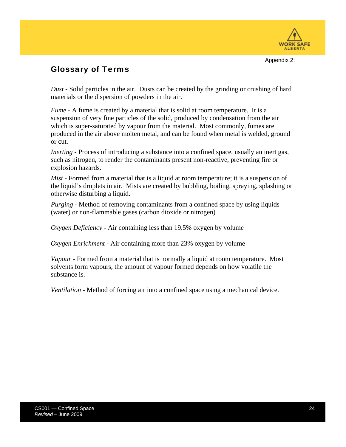

Appendix 2:

### Glossary of Terms

*Dust* - Solid particles in the air. Dusts can be created by the grinding or crushing of hard materials or the dispersion of powders in the air.

*Fume* - A fume is created by a material that is solid at room temperature. It is a suspension of very fine particles of the solid, produced by condensation from the air which is super-saturated by vapour from the material. Most commonly, fumes are produced in the air above molten metal, and can be found when metal is welded, ground or cut.

*Inerting* - Process of introducing a substance into a confined space, usually an inert gas, such as nitrogen, to render the contaminants present non-reactive, preventing fire or explosion hazards.

*Mist* - Formed from a material that is a liquid at room temperature; it is a suspension of the liquid's droplets in air. Mists are created by bubbling, boiling, spraying, splashing or otherwise disturbing a liquid.

*Purging* - Method of removing contaminants from a confined space by using liquids (water) or non-flammable gases (carbon dioxide or nitrogen)

*Oxygen Deficiency* - Air containing less than 19.5% oxygen by volume

*Oxygen Enrichment* - Air containing more than 23% oxygen by volume

*Vapour* - Formed from a material that is normally a liquid at room temperature. Most solvents form vapours, the amount of vapour formed depends on how volatile the substance is.

*Ventilation* - Method of forcing air into a confined space using a mechanical device.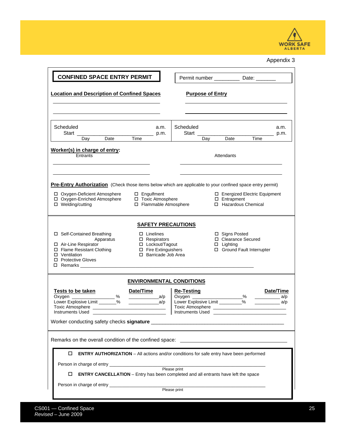

Appendix 3

| <b>CONFINED SPACE ENTRY PERMIT</b><br>Permit number ________________ Date: _________                                                                                                                                 |                                                                                                                                                                                                                                                                                                                                                                                                                                                |                                                                                                                                                                                                |                 |                                                                        |  |  |  |  |  |
|----------------------------------------------------------------------------------------------------------------------------------------------------------------------------------------------------------------------|------------------------------------------------------------------------------------------------------------------------------------------------------------------------------------------------------------------------------------------------------------------------------------------------------------------------------------------------------------------------------------------------------------------------------------------------|------------------------------------------------------------------------------------------------------------------------------------------------------------------------------------------------|-----------------|------------------------------------------------------------------------|--|--|--|--|--|
| <b>Location and Description of Confined Spaces</b><br><b>Purpose of Entry</b>                                                                                                                                        |                                                                                                                                                                                                                                                                                                                                                                                                                                                |                                                                                                                                                                                                |                 |                                                                        |  |  |  |  |  |
| Scheduled<br>Start<br>Day Date Time                                                                                                                                                                                  | a.m.<br>$\rule{1em}{0.05em}$ p.m.                                                                                                                                                                                                                                                                                                                                                                                                              | Scheduled<br>Start                                                                                                                                                                             | Day Date Time   | a.m.<br>$\_$ p.m.                                                      |  |  |  |  |  |
| Worker(s) in charge of entry:<br>Entrants<br>Attendants                                                                                                                                                              |                                                                                                                                                                                                                                                                                                                                                                                                                                                |                                                                                                                                                                                                |                 |                                                                        |  |  |  |  |  |
| □ Oxygen-Deficient Atmosphere<br>D Oxygen-Enriched Atmosphere<br>□ Welding/cutting                                                                                                                                   | $\Box$ Engulfment<br>□ Toxic Atmosphere<br>□ Flammable Atmosphere                                                                                                                                                                                                                                                                                                                                                                              | Pre-Entry Authorization (Check those items below which are applicable to your confined space entry permit)<br>□ Energized Electric Equipment<br>$\Box$ Entrapment<br>$\Box$ Hazardous Chemical |                 |                                                                        |  |  |  |  |  |
| □ Self-Contained Breathing<br>Apparatus<br>□ Air-Line Respirator<br>□ Flame Resistant Clothing<br>□ Ventilation<br>□ Protective Gloves                                                                               | <b>SAFETY PRECAUTIONS</b><br>$\Box$ Linelines<br>□ Respirators<br>□ Lockout/Tagout<br>□ Fire Extinguishers<br>□ Barricade Job Area                                                                                                                                                                                                                                                                                                             |                                                                                                                                                                                                | $\Box$ Lighting | $\Box$ Signs Posted<br>□ Clearance Secured<br>Ground Fault Interrupter |  |  |  |  |  |
| <b>Tests to be taken</b><br>Oxygen ___________________%<br>Lower Explosive Limit _______%                                                                                                                            | <b>ENVIRONMENTAL CONDITIONS</b><br>Date/Time<br>$\overline{\phantom{a}}$ a/p<br>$\overline{\phantom{a}}$ $\phantom{a}$ $\phantom{a}$ $\phantom{a}$ $\phantom{a}$ $\phantom{a}$ $\phantom{a}$ $\phantom{a}$ $\phantom{a}$ $\phantom{a}$ $\phantom{a}$ $\phantom{a}$ $\phantom{a}$ $\phantom{a}$ $\phantom{a}$ $\phantom{a}$ $\phantom{a}$ $\phantom{a}$ $\phantom{a}$ $\phantom{a}$ $\phantom{a}$ $\phantom{a}$ $\phantom{a}$ $\phantom{a}$ $\$ | <u>Re-Testing</u><br>Oxygen ____________________%                                                                                                                                              |                 | Date/Time<br>$\frac{a}{p}$                                             |  |  |  |  |  |
| Remarks on the overall condition of the confined space:                                                                                                                                                              |                                                                                                                                                                                                                                                                                                                                                                                                                                                |                                                                                                                                                                                                |                 |                                                                        |  |  |  |  |  |
| <b>ENTRY AUTHORIZATION</b> - All actions and/or conditions for safe entry have been performed<br>□<br><b>ENTRY CANCELLATION</b> – Entry has been completed and all entrants have left the space<br>□<br>Please print |                                                                                                                                                                                                                                                                                                                                                                                                                                                |                                                                                                                                                                                                |                 |                                                                        |  |  |  |  |  |